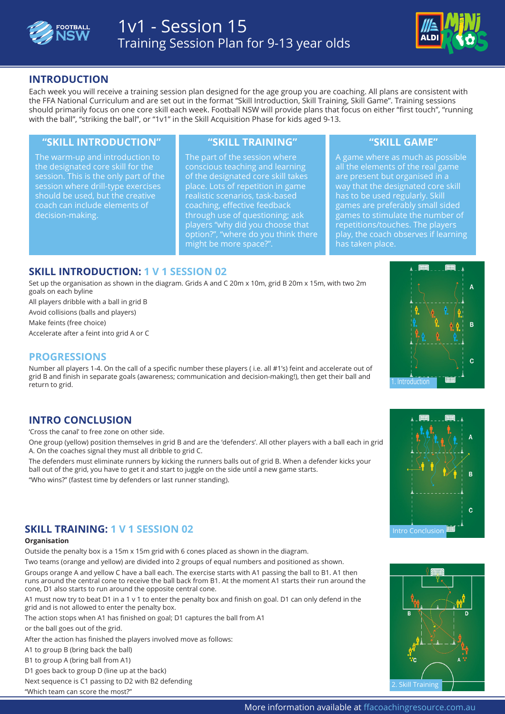



# **INTRODUCTION**

Each week you will receive a training session plan designed for the age group you are coaching. All plans are consistent with the FFA National Curriculum and are set out in the format "Skill Introduction, Skill Training, Skill Game". Training sessions should primarily focus on one core skill each week. Football NSW will provide plans that focus on either "first touch", "running with the ball", "striking the ball", or "1v1" in the Skill Acquisition Phase for kids aged 9-13.

## **"SKILL INTRODUCTION" "SKILL TRAINING" "SKILL GAME"**

The warm-up and introduction to the designated core skill for the session. This is the only part of the session where drill-type exercises should be used, but the creative coach can include elements of decision-making.

The part of the session where conscious teaching and learning of the designated core skill takes place. Lots of repetition in game realistic scenarios, task-based coaching, effective feedback through use of questioning; ask players "why did you choose that option?", "where do you think there might be more space?".

A game where as much as possible all the elements of the real game are present but organised in a way that the designated core skill has to be used regularly. Skill games are preferably small sided games to stimulate the number of repetitions/touches. The players play, the coach observes if learning has taken place.

## **SKILL INTRODUCTION: 1 V 1 SESSION 02**

Set up the organisation as shown in the diagram. Grids A and C 20m x 10m, grid B 20m x 15m, with two 2m<br>. goals on each byline

All players dribble with a ball in grid B

Avoid collisions (balls and players)

Make feints (free choice)

Accelerate after a feint into grid A or C

## **PROGRESSIONS**

Number all players 1-4. On the call of a specific number these players ( i.e. all #1's) feint and accelerate out of grid B and finish in separate goals (awareness; communication and decision-making!), then get their ball and return to grid. The contract of the contract of the contract of the contract of the contract of the contract of the contract of the contract of the contract of the contract of the contract of the contract of the contract o

## **INTRO CONCLUSION**

'Cross the canal' to free zone on other side.

One group (yellow) position themselves in grid B and are the 'defenders'. All other players with a ball each in grid A. On the coaches signal they must all dribble to grid C.

The defenders must eliminate runners by kicking the runners balls out of grid B. When a defender kicks your ball out of the grid, you have to get it and start to juggle on the side until a new game starts.

"Who wins?" (fastest time by defenders or last runner standing).

# **SKILL TRAINING: 1 V 1 SESSION 02**

#### **Organisation**

Outside the penalty box is a 15m x 15m grid with 6 cones placed as shown in the diagram.

Two teams (orange and yellow) are divided into 2 groups of equal numbers and positioned as shown. Groups orange A and yellow C have a ball each. The exercise starts with A1 passing the ball to B1. A1 then runs around the central cone to receive the ball back from B1. At the moment A1 starts their run around the cone, D1 also starts to run around the opposite central cone.

A1 must now try to beat D1 in a 1 v 1 to enter the penalty box and finish on goal. D1 can only defend in the grid and is not allowed to enter the penalty box.

The action stops when A1 has finished on goal; D1 captures the ball from A1

or the ball goes out of the grid.

After the action has finished the players involved move as follows:

A1 to group B (bring back the ball)

B1 to group A (bring ball from A1)

D1 goes back to group D (line up at the back)

Next sequence is C1 passing to D2 with B2 defending

"Which team can score the most?"